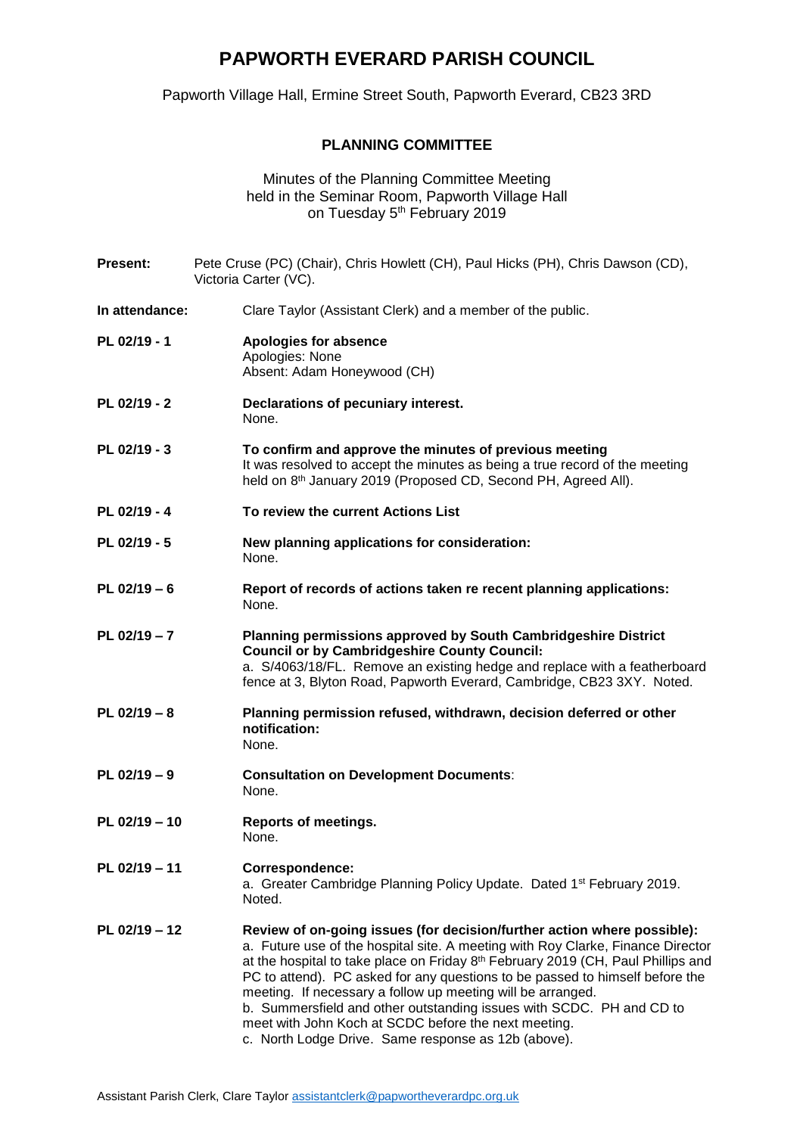## **PAPWORTH EVERARD PARISH COUNCIL**

Papworth Village Hall, Ermine Street South, Papworth Everard, CB23 3RD

## **PLANNING COMMITTEE**

Minutes of the Planning Committee Meeting held in the Seminar Room, Papworth Village Hall on Tuesday 5<sup>th</sup> February 2019

**Present:** Pete Cruse (PC) (Chair), Chris Howlett (CH), Paul Hicks (PH), Chris Dawson (CD), Victoria Carter (VC). **In attendance:** Clare Taylor (Assistant Clerk) and a member of the public. **PL 02/19 - 1 Apologies for absence** Apologies: None Absent: Adam Honeywood (CH) **PL 02/19 - 2 Declarations of pecuniary interest.** None. **PL 02/19 - 3 To confirm and approve the minutes of previous meeting** It was resolved to accept the minutes as being a true record of the meeting held on 8<sup>th</sup> January 2019 (Proposed CD, Second PH, Agreed All). **PL 02/19 - 4 To review the current Actions List PL 02/19 - 5 New planning applications for consideration:** None. **PL 02/19 – 6 Report of records of actions taken re recent planning applications:** None. **PL 02/19 – 7 Planning permissions approved by South Cambridgeshire District Council or by Cambridgeshire County Council:** a. S/4063/18/FL. Remove an existing hedge and replace with a featherboard fence at 3, Blyton Road, Papworth Everard, Cambridge, CB23 3XY. Noted. **PL 02/19 – 8 Planning permission refused, withdrawn, decision deferred or other notification:** None. **PL 02/19 – 9 Consultation on Development Documents**: None. **PL 02/19 – 10 Reports of meetings.** None. **PL 02/19 – 11 Correspondence:** a. Greater Cambridge Planning Policy Update. Dated 1<sup>st</sup> February 2019. Noted. **PL 02/19 – 12 Review of on-going issues (for decision/further action where possible):** a. Future use of the hospital site. A meeting with Roy Clarke, Finance Director at the hospital to take place on Friday 8<sup>th</sup> February 2019 (CH, Paul Phillips and PC to attend). PC asked for any questions to be passed to himself before the meeting. If necessary a follow up meeting will be arranged. b. Summersfield and other outstanding issues with SCDC. PH and CD to meet with John Koch at SCDC before the next meeting. c. North Lodge Drive. Same response as 12b (above).